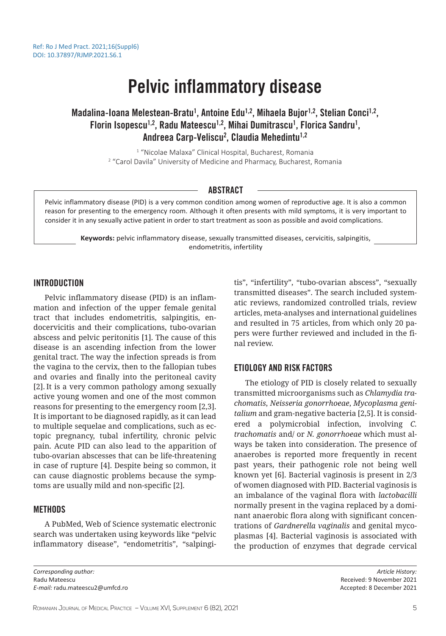# Pelvic inflammatory disease

# Madalina-Ioana Melestean-Bratu<sup>1</sup>, Antoine Edu<sup>1,2</sup>, Mihaela Bujor<sup>1,2</sup>, Stelian Conci<sup>1,2</sup>, Florin Isopescu<sup>1,2</sup>, Radu Mateescu<sup>1,2</sup>, Mihai Dumitrascu<sup>1</sup>, Florica Sandru<sup>1</sup>, Andreea Carp-Veliscu<sup>2</sup>, Claudia Mehedintu<sup>1,2</sup>

<sup>1</sup> "Nicolae Malaxa" Clinical Hospital, Bucharest, Romania <sup>2</sup> "Carol Davila" University of Medicine and Pharmacy, Bucharest, Romania

## ABSTRACT

Pelvic inflammatory disease (PID) is a very common condition among women of reproductive age. It is also a common reason for presenting to the emergency room. Although it often presents with mild symptoms, it is very important to consider it in any sexually active patient in order to start treatment as soon as possible and avoid complications.

**Keywords:** pelvic inflammatory disease, sexually transmitted diseases, cervicitis, salpingitis, endometritis, infertility

## INTRODUCTION

Pelvic inflammatory disease (PID) is an inflammation and infection of the upper female genital tract that includes endometritis, salpingitis, endocervicitis and their complications, tubo-ovarian abscess and pelvic peritonitis [1]. The cause of this disease is an ascending infection from the lower genital tract. The way the infection spreads is from the vagina to the cervix, then to the fallopian tubes and ovaries and finally into the peritoneal cavity [2]. It is a very common pathology among sexually active young women and one of the most common reasons for presenting to the emergency room [2,3]. It is important to be diagnosed rapidly, as it can lead to multiple sequelae and complications, such as ectopic pregnancy, tubal infertility, chronic pelvic pain. Acute PID can also lead to the apparition of tubo-ovarian abscesses that can be life-threatening in case of rupture [4]. Despite being so common, it can cause diagnostic problems because the symptoms are usually mild and non-specific [2].

#### **METHODS**

A PubMed, Web of Science systematic electronic search was undertaken using keywords like "pelvic inflammatory disease", "endometritis", "salpingi-

*Corresponding author:*  Radu Mateescu *E-mail:* radu.mateescu2@umfcd.ro tis", "infertility", "tubo-ovarian abscess", "sexually transmitted diseases". The search included systematic reviews, randomized controlled trials, review articles, meta-analyses and international guidelines and resulted in 75 articles, from which only 20 papers were further reviewed and included in the final review.

# ETIOLOGY AND RISK FACTORS

The etiology of PID is closely related to sexually transmitted microorganisms such as *Chlamydia trachomatis*, *Neisseria gonorrhoeae*, *Mycoplasma genitalium* and gram-negative bacteria [2,5]. It is considered a polymicrobial infection, involving *C. trachomatis* and/ or *N. gonorrhoeae* which must always be taken into consideration. The presence of anaerobes is reported more frequently in recent past years, their pathogenic role not being well known yet [6]. Bacterial vaginosis is present in 2/3 of women diagnosed with PID. Bacterial vaginosis is an imbalance of the vaginal flora with *lactobacilli* normally present in the vagina replaced by a dominant anaerobic flora along with significant concentrations of *Gardnerella vaginalis* and genital mycoplasmas [4]. Bacterial vaginosis is associated with the production of enzymes that degrade cervical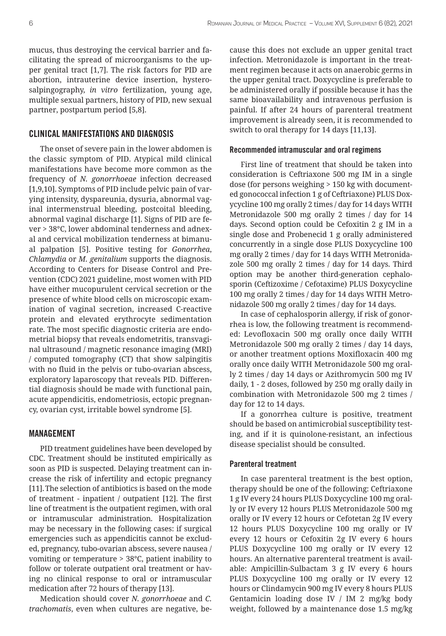mucus, thus destroying the cervical barrier and facilitating the spread of microorganisms to the upper genital tract [1,7]. The risk factors for PID are abortion, intrauterine device insertion, hysterosalpingography, *in vitro* fertilization, young age, multiple sexual partners, history of PID, new sexual partner, postpartum period [5,8].

# CLINICAL MANIFESTATIONS AND DIAGNOSIS

The onset of severe pain in the lower abdomen is the classic symptom of PID. Atypical mild clinical manifestations have become more common as the frequency of *N. gonorrhoeae* infection decreased [1,9,10]. Symptoms of PID include pelvic pain of varying intensity, dyspareunia, dysuria, abnormal vaginal intermenstrual bleeding, postcoital bleeding, abnormal vaginal discharge [1]. Signs of PID are fever > 38°C, lower abdominal tenderness and adnexal and cervical mobilization tenderness at bimanual palpation [5]. Positive testing for *Gonorrhea*, *Chlamydia* or *M. genitalium* supports the diagnosis. According to Centers for Disease Control and Prevention (CDC) 2021 guideline, most women with PID have either mucopurulent cervical secretion or the presence of white blood cells on microscopic examination of vaginal secretion, increased C-reactive protein and elevated erythrocyte sedimentation rate. The most specific diagnostic criteria are endometrial biopsy that reveals endometritis, transvaginal ultrasound / magnetic resonance imaging (MRI) / computed tomography (CT) that show salpingitis with no fluid in the pelvis or tubo-ovarian abscess, exploratory laparoscopy that reveals PID. Differential diagnosis should be made with functional pain, acute appendicitis, endometriosis, ectopic pregnancy, ovarian cyst, irritable bowel syndrome [5].

#### MANAGEMENT

PID treatment guidelines have been developed by CDC. Treatment should be instituted empirically as soon as PID is suspected. Delaying treatment can increase the risk of infertility and ectopic pregnancy [11].The selection of antibiotics is based on the mode of treatment - inpatient / outpatient [12]. The first line of treatment is the outpatient regimen, with oral or intramuscular administration. Hospitalization may be necessary in the following cases: if surgical emergencies such as appendicitis cannot be excluded, pregnancy, tubo-ovarian abscess, severe nausea / vomiting or temperature > 38°C, patient inability to follow or tolerate outpatient oral treatment or having no clinical response to oral or intramuscular medication after 72 hours of therapy [13].

Medication should cover *N. gonorrhoeae* and *C. trachomatis*, even when cultures are negative, because this does not exclude an upper genital tract infection. Metronidazole is important in the treatment regimen because it acts on anaerobic germs in the upper genital tract. Doxycycline is preferable to be administered orally if possible because it has the same bioavailability and intravenous perfusion is painful. If after 24 hours of parenteral treatment improvement is already seen, it is recommended to switch to oral therapy for 14 days [11,13].

# Recommended intramuscular and oral regimens

First line of treatment that should be taken into consideration is Ceftriaxone 500 mg IM in a single dose (for persons weighing > 150 kg with documented gonococcal infection 1 g of Ceftriaxone) PLUS Doxycycline 100 mg orally 2 times / day for 14 days WITH Metronidazole 500 mg orally 2 times / day for 14 days. Second option could be Cefoxitin 2 g IM in a single dose and Probenecid 1 g orally administered concurrently in a single dose PLUS Doxycycline 100 mg orally 2 times / day for 14 days WITH Metronidazole 500 mg orally 2 times / day for 14 days. Third option may be another third-generation cephalosporin (Ceftizoxime / Cefotaxime) PLUS Doxycycline 100 mg orally 2 times / day for 14 days WITH Metronidazole 500 mg orally 2 times / day for 14 days.

In case of cephalosporin allergy, if risk of gonorrhea is low, the following treatment is recommended: Levofloxacin 500 mg orally once daily WITH Metronidazole 500 mg orally 2 times / day 14 days, or another treatment options Moxifloxacin 400 mg orally once daily WITH Metronidazole 500 mg orally 2 times / day 14 days or Azithromycin 500 mg IV daily, 1 - 2 doses, followed by 250 mg orally daily in combination with Metronidazole 500 mg 2 times / day for 12 to 14 days.

If a gonorrhea culture is positive, treatment should be based on antimicrobial susceptibility testing, and if it is quinolone-resistant, an infectious disease specialist should be consulted.

#### Parenteral treatment

In case parenteral treatment is the best option, therapy should be one of the following: Ceftriaxone 1 g IV every 24 hours PLUS Doxycycline 100 mg orally or IV every 12 hours PLUS Metronidazole 500 mg orally or IV every 12 hours or Cefotetan 2g IV every 12 hours PLUS Doxycycline 100 mg orally or IV every 12 hours or Cefoxitin 2g IV every 6 hours PLUS Doxycycline 100 mg orally or IV every 12 hours. An alternative parenteral treatment is available: Ampicillin-Sulbactam 3 g IV every 6 hours PLUS Doxycycline 100 mg orally or IV every 12 hours or Clindamycin 900 mg IV every 8 hours PLUS Gentamicin loading dose IV / IM 2 mg/kg body weight, followed by a maintenance dose 1.5 mg/kg